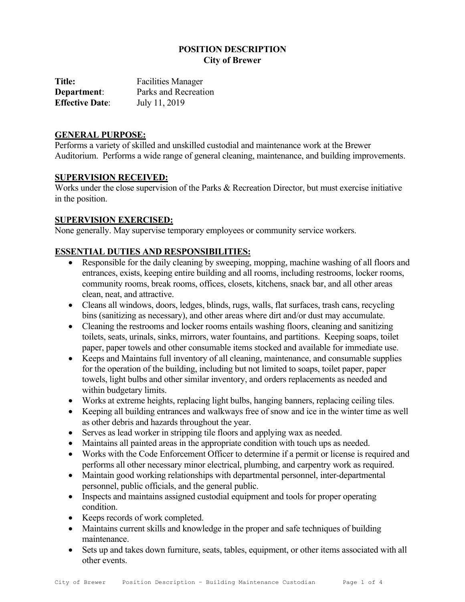## **POSITION DESCRIPTION City of Brewer**

**Title:** Facilities Manager **Department**: Parks and Recreation **Effective Date**: July 11, 2019

### **GENERAL PURPOSE:**

Performs a variety of skilled and unskilled custodial and maintenance work at the Brewer Auditorium. Performs a wide range of general cleaning, maintenance, and building improvements.

### **SUPERVISION RECEIVED:**

Works under the close supervision of the Parks & Recreation Director, but must exercise initiative in the position.

## **SUPERVISION EXERCISED:**

None generally. May supervise temporary employees or community service workers.

# **ESSENTIAL DUTIES AND RESPONSIBILITIES:**

- Responsible for the daily cleaning by sweeping, mopping, machine washing of all floors and entrances, exists, keeping entire building and all rooms, including restrooms, locker rooms, community rooms, break rooms, offices, closets, kitchens, snack bar, and all other areas clean, neat, and attractive.
- Cleans all windows, doors, ledges, blinds, rugs, walls, flat surfaces, trash cans, recycling bins (sanitizing as necessary), and other areas where dirt and/or dust may accumulate.
- Cleaning the restrooms and locker rooms entails washing floors, cleaning and sanitizing toilets, seats, urinals, sinks, mirrors, water fountains, and partitions. Keeping soaps, toilet paper, paper towels and other consumable items stocked and available for immediate use.
- Keeps and Maintains full inventory of all cleaning, maintenance, and consumable supplies for the operation of the building, including but not limited to soaps, toilet paper, paper towels, light bulbs and other similar inventory, and orders replacements as needed and within budgetary limits.
- Works at extreme heights, replacing light bulbs, hanging banners, replacing ceiling tiles.
- Keeping all building entrances and walkways free of snow and ice in the winter time as well as other debris and hazards throughout the year.
- Serves as lead worker in stripping tile floors and applying wax as needed.
- Maintains all painted areas in the appropriate condition with touch ups as needed.
- Works with the Code Enforcement Officer to determine if a permit or license is required and performs all other necessary minor electrical, plumbing, and carpentry work as required.
- Maintain good working relationships with departmental personnel, inter-departmental personnel, public officials, and the general public.
- Inspects and maintains assigned custodial equipment and tools for proper operating condition.
- Keeps records of work completed.
- Maintains current skills and knowledge in the proper and safe techniques of building maintenance.
- Sets up and takes down furniture, seats, tables, equipment, or other items associated with all other events.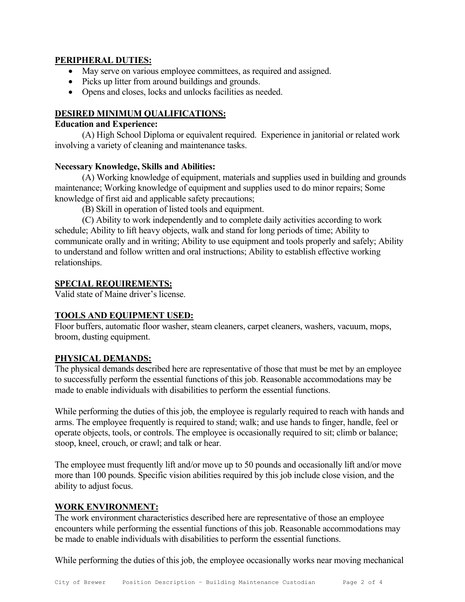## **PERIPHERAL DUTIES:**

- May serve on various employee committees, as required and assigned.
- Picks up litter from around buildings and grounds.
- Opens and closes, locks and unlocks facilities as needed.

## **DESIRED MINIMUM QUALIFICATIONS:**

### **Education and Experience:**

(A) High School Diploma or equivalent required. Experience in janitorial or related work involving a variety of cleaning and maintenance tasks.

#### **Necessary Knowledge, Skills and Abilities:**

(A) Working knowledge of equipment, materials and supplies used in building and grounds maintenance; Working knowledge of equipment and supplies used to do minor repairs; Some knowledge of first aid and applicable safety precautions;

(B) Skill in operation of listed tools and equipment.

(C) Ability to work independently and to complete daily activities according to work schedule; Ability to lift heavy objects, walk and stand for long periods of time; Ability to communicate orally and in writing; Ability to use equipment and tools properly and safely; Ability to understand and follow written and oral instructions; Ability to establish effective working relationships.

### **SPECIAL REQUIREMENTS:**

Valid state of Maine driver's license.

## **TOOLS AND EQUIPMENT USED:**

Floor buffers, automatic floor washer, steam cleaners, carpet cleaners, washers, vacuum, mops, broom, dusting equipment.

### **PHYSICAL DEMANDS:**

The physical demands described here are representative of those that must be met by an employee to successfully perform the essential functions of this job. Reasonable accommodations may be made to enable individuals with disabilities to perform the essential functions.

While performing the duties of this job, the employee is regularly required to reach with hands and arms. The employee frequently is required to stand; walk; and use hands to finger, handle, feel or operate objects, tools, or controls. The employee is occasionally required to sit; climb or balance; stoop, kneel, crouch, or crawl; and talk or hear.

The employee must frequently lift and/or move up to 50 pounds and occasionally lift and/or move more than 100 pounds. Specific vision abilities required by this job include close vision, and the ability to adjust focus.

### **WORK ENVIRONMENT:**

The work environment characteristics described here are representative of those an employee encounters while performing the essential functions of this job. Reasonable accommodations may be made to enable individuals with disabilities to perform the essential functions.

While performing the duties of this job, the employee occasionally works near moving mechanical